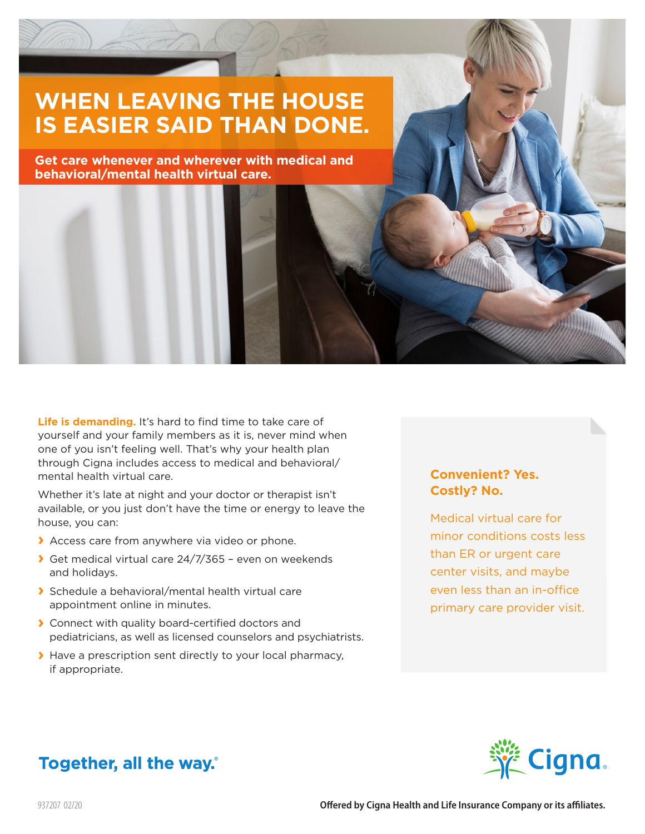# **WHEN LEAVING THE HOUSE IS EASIER SAID THAN DONE.**

**Get care whenever and wherever with medical and behavioral/mental health virtual care.**

Life is demanding. It's hard to find time to take care of yourself and your family members as it is, never mind when one of you isn't feeling well. That's why your health plan through Cigna includes access to medical and behavioral/ mental health virtual care.

Whether it's late at night and your doctor or therapist isn't available, or you just don't have the time or energy to leave the house, you can:

- **›** Access care from anywhere via video or phone.
- **›** Get medical virtual care 24/7/365 even on weekends and holidays.
- **›** Schedule a behavioral/mental health virtual care appointment online in minutes.
- **›** Connect with quality board-certified doctors and pediatricians, as well as licensed counselors and psychiatrists.
- **›** Have a prescription sent directly to your local pharmacy, if appropriate.

## **Convenient? Yes. Costly? No.**

Medical virtual care for minor conditions costs less than ER or urgent care center visits, and maybe even less than an in-office primary care provider visit.



# Together, all the way.